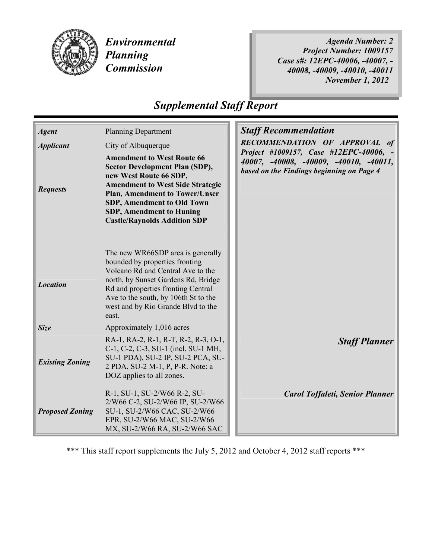

Environmental Planning **Commission** 

Agenda Number: 2 Project Number: 1009157 Case s#: 12EPC-40006, -40007, - 40008, -40009, -40010, -40011 November 1, 2012

# Supplemental Staff Report

| <b>Agent</b>           | <b>Planning Department</b>                                                                                                                                                                                                                                                                              |  | <b>Staff Recommendation</b><br>RECOMMENDATION OF APPROVAL of                                                                  |
|------------------------|---------------------------------------------------------------------------------------------------------------------------------------------------------------------------------------------------------------------------------------------------------------------------------------------------------|--|-------------------------------------------------------------------------------------------------------------------------------|
| <b>Applicant</b>       | City of Albuquerque                                                                                                                                                                                                                                                                                     |  |                                                                                                                               |
| <b>Requests</b>        | <b>Amendment to West Route 66</b><br><b>Sector Development Plan (SDP),</b><br>new West Route 66 SDP,<br><b>Amendment to West Side Strategic</b><br><b>Plan, Amendment to Tower/Unser</b><br><b>SDP, Amendment to Old Town</b><br><b>SDP, Amendment to Huning</b><br><b>Castle/Raynolds Addition SDP</b> |  | Project #1009157, Case #12EPC-40006, -<br>40007, -40008, -40009, -40010, -40011,<br>based on the Findings beginning on Page 4 |
|                        |                                                                                                                                                                                                                                                                                                         |  |                                                                                                                               |
| <b>Location</b>        | The new WR66SDP area is generally<br>bounded by properties fronting<br>Volcano Rd and Central Ave to the<br>north, by Sunset Gardens Rd, Bridge<br>Rd and properties fronting Central<br>Ave to the south, by 106th St to the<br>west and by Rio Grande Blvd to the<br>east.                            |  |                                                                                                                               |
| <b>Size</b>            | Approximately 1,016 acres                                                                                                                                                                                                                                                                               |  |                                                                                                                               |
| <b>Existing Zoning</b> | RA-1, RA-2, R-1, R-T, R-2, R-3, O-1,<br>C-1, C-2, C-3, SU-1 (incl. SU-1 MH,<br>SU-1 PDA), SU-2 IP, SU-2 PCA, SU-<br>2 PDA, SU-2 M-1, P, P-R. Note: a<br>DOZ applies to all zones.                                                                                                                       |  | <b>Staff Planner</b>                                                                                                          |
| <b>Proposed Zoning</b> | R-1, SU-1, SU-2/W66 R-2, SU-<br>2/W66 C-2, SU-2/W66 IP, SU-2/W66<br>SU-1, SU-2/W66 CAC, SU-2/W66<br>EPR, SU-2/W66 MAC, SU-2/W66<br>MX, SU-2/W66 RA, SU-2/W66 SAC                                                                                                                                        |  | <b>Carol Toffaleti, Senior Planner</b>                                                                                        |

\*\*\* This staff report supplements the July 5, 2012 and October 4, 2012 staff reports \*\*\*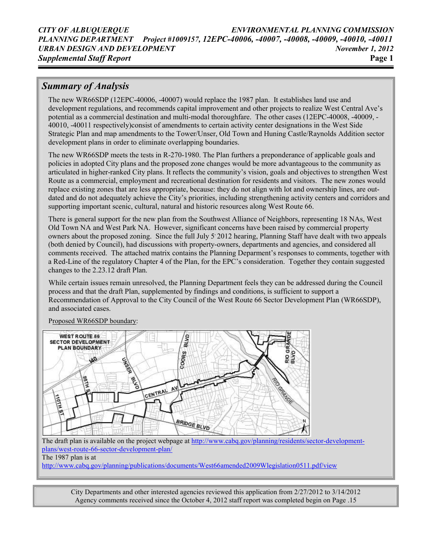# Summary of Analysis

The new WR66SDP (12EPC-40006, -40007) would replace the 1987 plan. It establishes land use and development regulations, and recommends capital improvement and other projects to realize West Central Ave's potential as a commercial destination and multi-modal thoroughfare. The other cases (12EPC-40008, -40009, - 40010, -40011 respectively)consist of amendments to certain activity center designations in the West Side Strategic Plan and map amendments to the Tower/Unser, Old Town and Huning Castle/Raynolds Addition sector development plans in order to eliminate overlapping boundaries.

The new WR66SDP meets the tests in R-270-1980. The Plan furthers a preponderance of applicable goals and policies in adopted City plans and the proposed zone changes would be more advantageous to the community as articulated in higher-ranked City plans. It reflects the community's vision, goals and objectives to strengthen West Route as a commercial, employment and recreational destination for residents and visitors. The new zones would replace existing zones that are less appropriate, because: they do not align with lot and ownership lines, are outdated and do not adequately achieve the City's priorities, including strengthening activity centers and corridors and supporting important scenic, cultural, natural and historic resources along West Route 66.

There is general support for the new plan from the Southwest Alliance of Neighbors, representing 18 NAs, West Old Town NA and West Park NA. However, significant concerns have been raised by commercial property owners about the proposed zoning. Since the full July 5 2012 hearing, Planning Staff have dealt with two appeals (both denied by Council), had discussions with property-owners, departments and agencies, and considered all comments received. The attached matrix contains the Planning Deparment's responses to comments, together with a Red-Line of the regulatory Chapter 4 of the Plan, for the EPC's consideration. Together they contain suggested changes to the 2.23.12 draft Plan.

While certain issues remain unresolved, the Planning Department feels they can be addressed during the Council process and that the draft Plan, supplemented by findings and conditions, is sufficient to support a Recommendation of Approval to the City Council of the West Route 66 Sector Development Plan (WR66SDP), and associated cases.



Proposed WR66SDP boundary:

The draft plan is available on the project webpage at http://www.cabq.gov/planning/residents/sector-developmentplans/west-route-66-sector-development-plan/ The 1987 plan is at

http://www.cabq.gov/planning/publications/documents/West66amended2009Wlegislation0511.pdf/view

City Departments and other interested agencies reviewed this application from 2/27/2012 to 3/14/2012 Agency comments received since the October 4, 2012 staff report was completed begin on Page .15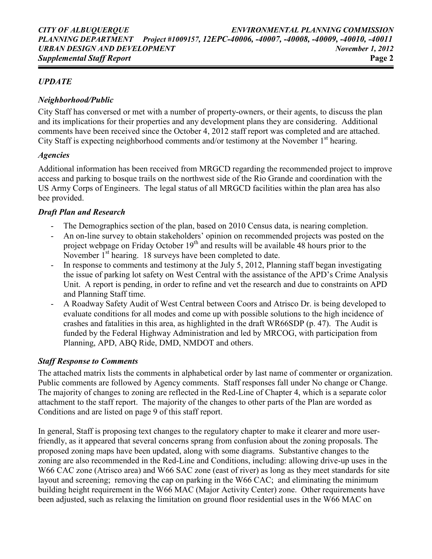# UPDATE

# Neighborhood/Public

City Staff has conversed or met with a number of property-owners, or their agents, to discuss the plan and its implications for their properties and any development plans they are considering. Additional comments have been received since the October 4, 2012 staff report was completed and are attached. City Staff is expecting neighborhood comments and/or testimony at the November  $1<sup>st</sup>$  hearing.

## Agencies

Additional information has been received from MRGCD regarding the recommended project to improve access and parking to bosque trails on the northwest side of the Rio Grande and coordination with the US Army Corps of Engineers. The legal status of all MRGCD facilities within the plan area has also bee provided.

## Draft Plan and Research

- The Demographics section of the plan, based on 2010 Census data, is nearing completion.
- An on-line survey to obtain stakeholders' opinion on recommended projects was posted on the project webpage on Friday October  $19<sup>th</sup>$  and results will be available 48 hours prior to the November  $1<sup>st</sup>$  hearing. 18 surveys have been completed to date.
- In response to comments and testimony at the July 5, 2012, Planning staff began investigating the issue of parking lot safety on West Central with the assistance of the APD's Crime Analysis Unit. A report is pending, in order to refine and vet the research and due to constraints on APD and Planning Staff time.
- A Roadway Safety Audit of West Central between Coors and Atrisco Dr. is being developed to evaluate conditions for all modes and come up with possible solutions to the high incidence of crashes and fatalities in this area, as highlighted in the draft WR66SDP (p. 47). The Audit is funded by the Federal Highway Administration and led by MRCOG, with participation from Planning, APD, ABQ Ride, DMD, NMDOT and others.

# Staff Response to Comments

The attached matrix lists the comments in alphabetical order by last name of commenter or organization. Public comments are followed by Agency comments. Staff responses fall under No change or Change. The majority of changes to zoning are reflected in the Red-Line of Chapter 4, which is a separate color attachment to the staff report. The majority of the changes to other parts of the Plan are worded as Conditions and are listed on page 9 of this staff report.

In general, Staff is proposing text changes to the regulatory chapter to make it clearer and more userfriendly, as it appeared that several concerns sprang from confusion about the zoning proposals. The proposed zoning maps have been updated, along with some diagrams. Substantive changes to the zoning are also recommended in the Red-Line and Conditions, including: allowing drive-up uses in the W66 CAC zone (Atrisco area) and W66 SAC zone (east of river) as long as they meet standards for site layout and screening; removing the cap on parking in the W66 CAC; and eliminating the minimum building height requirement in the W66 MAC (Major Activity Center) zone. Other requirements have been adjusted, such as relaxing the limitation on ground floor residential uses in the W66 MAC on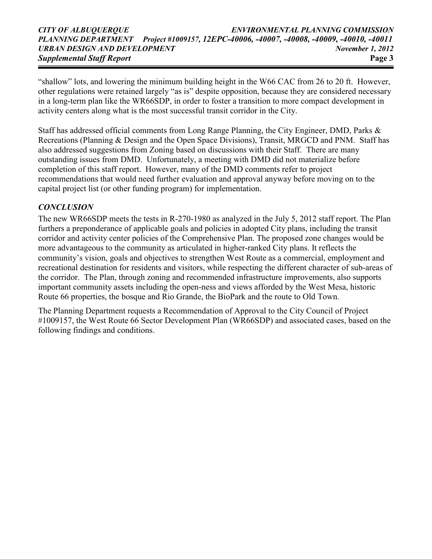"shallow" lots, and lowering the minimum building height in the W66 CAC from 26 to 20 ft. However, other regulations were retained largely "as is" despite opposition, because they are considered necessary in a long-term plan like the WR66SDP, in order to foster a transition to more compact development in activity centers along what is the most successful transit corridor in the City.

Staff has addressed official comments from Long Range Planning, the City Engineer, DMD, Parks & Recreations (Planning & Design and the Open Space Divisions), Transit, MRGCD and PNM. Staff has also addressed suggestions from Zoning based on discussions with their Staff. There are many outstanding issues from DMD. Unfortunately, a meeting with DMD did not materialize before completion of this staff report. However, many of the DMD comments refer to project recommendations that would need further evaluation and approval anyway before moving on to the capital project list (or other funding program) for implementation.

# **CONCLUSION**

The new WR66SDP meets the tests in R-270-1980 as analyzed in the July 5, 2012 staff report. The Plan furthers a preponderance of applicable goals and policies in adopted City plans, including the transit corridor and activity center policies of the Comprehensive Plan. The proposed zone changes would be more advantageous to the community as articulated in higher-ranked City plans. It reflects the community's vision, goals and objectives to strengthen West Route as a commercial, employment and recreational destination for residents and visitors, while respecting the different character of sub-areas of the corridor. The Plan, through zoning and recommended infrastructure improvements, also supports important community assets including the open-ness and views afforded by the West Mesa, historic Route 66 properties, the bosque and Rio Grande, the BioPark and the route to Old Town.

The Planning Department requests a Recommendation of Approval to the City Council of Project #1009157, the West Route 66 Sector Development Plan (WR66SDP) and associated cases, based on the following findings and conditions.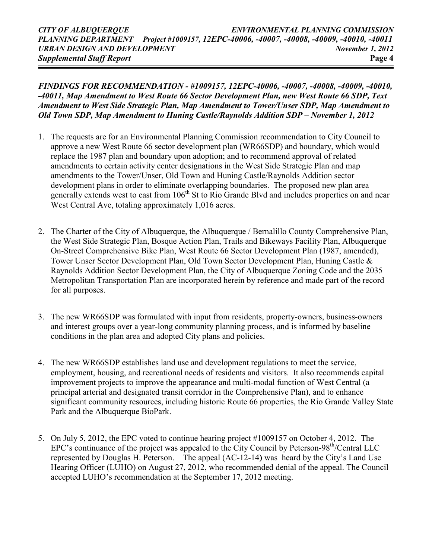FINDINGS FOR RECOMMENDATION - #1009157, 12EPC-40006, -40007, -40008, -40009, -40010, -40011, Map Amendment to West Route 66 Sector Development Plan, new West Route 66 SDP, Text Amendment to West Side Strategic Plan, Map Amendment to Tower/Unser SDP, Map Amendment to Old Town SDP, Map Amendment to Huning Castle/Raynolds Addition SDP – November 1, 2012

- 1. The requests are for an Environmental Planning Commission recommendation to City Council to approve a new West Route 66 sector development plan (WR66SDP) and boundary, which would replace the 1987 plan and boundary upon adoption; and to recommend approval of related amendments to certain activity center designations in the West Side Strategic Plan and map amendments to the Tower/Unser, Old Town and Huning Castle/Raynolds Addition sector development plans in order to eliminate overlapping boundaries. The proposed new plan area generally extends west to east from  $106<sup>th</sup>$  St to Rio Grande Blvd and includes properties on and near West Central Ave, totaling approximately 1,016 acres.
- 2. The Charter of the City of Albuquerque, the Albuquerque / Bernalillo County Comprehensive Plan, the West Side Strategic Plan, Bosque Action Plan, Trails and Bikeways Facility Plan, Albuquerque On-Street Comprehensive Bike Plan, West Route 66 Sector Development Plan (1987, amended), Tower Unser Sector Development Plan, Old Town Sector Development Plan, Huning Castle & Raynolds Addition Sector Development Plan, the City of Albuquerque Zoning Code and the 2035 Metropolitan Transportation Plan are incorporated herein by reference and made part of the record for all purposes.
- 3. The new WR66SDP was formulated with input from residents, property-owners, business-owners and interest groups over a year-long community planning process, and is informed by baseline conditions in the plan area and adopted City plans and policies.
- 4. The new WR66SDP establishes land use and development regulations to meet the service, employment, housing, and recreational needs of residents and visitors. It also recommends capital improvement projects to improve the appearance and multi-modal function of West Central (a principal arterial and designated transit corridor in the Comprehensive Plan), and to enhance significant community resources, including historic Route 66 properties, the Rio Grande Valley State Park and the Albuquerque BioPark.
- 5. On July 5, 2012, the EPC voted to continue hearing project #1009157 on October 4, 2012. The EPC's continuance of the project was appealed to the City Council by Peterson-98th/Central LLC represented by Douglas H. Peterson. The appeal (AC-12-14) was heard by the City's Land Use Hearing Officer (LUHO) on August 27, 2012, who recommended denial of the appeal. The Council accepted LUHO's recommendation at the September 17, 2012 meeting.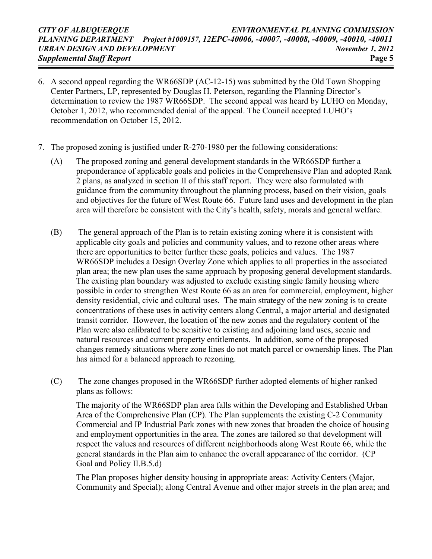- 6. A second appeal regarding the WR66SDP (AC-12-15) was submitted by the Old Town Shopping Center Partners, LP, represented by Douglas H. Peterson, regarding the Planning Director's determination to review the 1987 WR66SDP. The second appeal was heard by LUHO on Monday, October 1, 2012, who recommended denial of the appeal. The Council accepted LUHO's recommendation on October 15, 2012.
- 7. The proposed zoning is justified under R-270-1980 per the following considerations:
	- (A) The proposed zoning and general development standards in the WR66SDP further a preponderance of applicable goals and policies in the Comprehensive Plan and adopted Rank 2 plans, as analyzed in section II of this staff report. They were also formulated with guidance from the community throughout the planning process, based on their vision, goals and objectives for the future of West Route 66. Future land uses and development in the plan area will therefore be consistent with the City's health, safety, morals and general welfare.
	- (B) The general approach of the Plan is to retain existing zoning where it is consistent with applicable city goals and policies and community values, and to rezone other areas where there are opportunities to better further these goals, policies and values. The 1987 WR66SDP includes a Design Overlay Zone which applies to all properties in the associated plan area; the new plan uses the same approach by proposing general development standards. The existing plan boundary was adjusted to exclude existing single family housing where possible in order to strengthen West Route 66 as an area for commercial, employment, higher density residential, civic and cultural uses. The main strategy of the new zoning is to create concentrations of these uses in activity centers along Central, a major arterial and designated transit corridor. However, the location of the new zones and the regulatory content of the Plan were also calibrated to be sensitive to existing and adjoining land uses, scenic and natural resources and current property entitlements. In addition, some of the proposed changes remedy situations where zone lines do not match parcel or ownership lines. The Plan has aimed for a balanced approach to rezoning.
	- (C) The zone changes proposed in the WR66SDP further adopted elements of higher ranked plans as follows:

The majority of the WR66SDP plan area falls within the Developing and Established Urban Area of the Comprehensive Plan (CP). The Plan supplements the existing C-2 Community Commercial and IP Industrial Park zones with new zones that broaden the choice of housing and employment opportunities in the area. The zones are tailored so that development will respect the values and resources of different neighborhoods along West Route 66, while the general standards in the Plan aim to enhance the overall appearance of the corridor. (CP Goal and Policy II.B.5.d)

The Plan proposes higher density housing in appropriate areas: Activity Centers (Major, Community and Special); along Central Avenue and other major streets in the plan area; and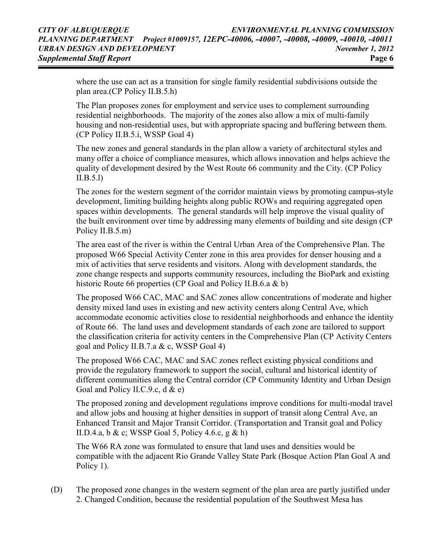where the use can act as a transition for single family residential subdivisions outside the plan area.(CP Policy II.B.5.h)

The Plan proposes zones for employment and service uses to complement surrounding residential neighborhoods. The majority of the zones also allow a mix of multi-family housing and non-residential uses, but with appropriate spacing and buffering between them. (CP Policy II.B.5.i, WSSP Goal 4)

The new zones and general standards in the plan allow a variety of architectural styles and many offer a choice of compliance measures, which allows innovation and helps achieve the quality of development desired by the West Route 66 community and the City. (CP Policy II.B.5.l)

The zones for the western segment of the corridor maintain views by promoting campus-style development, limiting building heights along public ROWs and requiring aggregated open spaces within developments. The general standards will help improve the visual quality of the built environment over time by addressing many elements of building and site design (CP Policy II.B.5.m)

The area east of the river is within the Central Urban Area of the Comprehensive Plan. The proposed W66 Special Activity Center zone in this area provides for denser housing and a mix of activities that serve residents and visitors. Along with development standards, the zone change respects and supports community resources, including the BioPark and existing historic Route 66 properties (CP Goal and Policy II.B.6.a & b)

The proposed W66 CAC, MAC and SAC zones allow concentrations of moderate and higher density mixed land uses in existing and new activity centers along Central Ave, which accommodate economic activities close to residential neighborhoods and enhance the identity of Route 66. The land uses and development standards of each zone are tailored to support the classification criteria for activity centers in the Comprehensive Plan (CP Activity Centers goal and Policy II.B.7.a & c, WSSP Goal 4)

The proposed W66 CAC, MAC and SAC zones reflect existing physical conditions and provide the regulatory framework to support the social, cultural and historical identity of different communities along the Central corridor (CP Community Identity and Urban Design Goal and Policy II.C.9.c,  $d \& e$ )

The proposed zoning and development regulations improve conditions for multi-modal travel and allow jobs and housing at higher densities in support of transit along Central Ave, an Enhanced Transit and Major Transit Corridor. (Transportation and Transit goal and Policy II.D.4.a, b & c; WSSP Goal 5, Policy 4.6.c, g & h)

The W66 RA zone was formulated to ensure that land uses and densities would be compatible with the adjacent Rio Grande Valley State Park (Bosque Action Plan Goal A and Policy 1).

(D) The proposed zone changes in the western segment of the plan area are partly justified under 2. Changed Condition, because the residential population of the Southwest Mesa has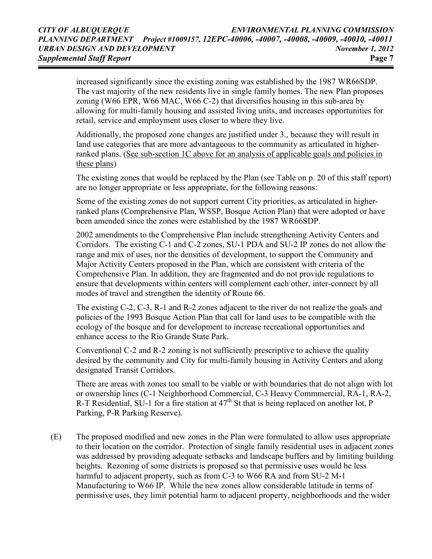increased significantly since the existing zoning was established by the 1987 WR66SDP. The vast majority of the new residents live in single family homes. The new Plan proposes zoning (W66 EPR, W66 MAC, W66 C-2) that diversifies housing in this sub-area by allowing for multi-family housing and assisted living units, and increases opportunities for retail, service and employment uses closer to where they live.

Additionally, the proposed zone changes are justified under 3., because they will result in land use categories that are more advantageous to the community as articulated in higherranked plans. (See sub-section 1C above for an analysis of applicable goals and policies in these plans)

The existing zones that would be replaced by the Plan (see Table on p. 20 of this staff report) are no longer appropriate or less appropriate, for the following reasons:

Some of the existing zones do not support current City priorities, as articulated in higherranked plans (Comprehensive Plan, WSSP, Bosque Action Plan) that were adopted or have been amended since the zones were established by the 1987 WR66SDP.

2002 amendments to the Comprehensive Plan include strengthening Activity Centers and Corridors. The existing C-1 and C-2 zones, SU-1 PDA and SU-2 IP zones do not allow the range and mix of uses, nor the densities of development, to support the Community and Major Activity Centers proposed in the Plan, which are consistent with criteria of the Comprehensive Plan. In addition, they are fragmented and do not provide regulations to ensure that developments within centers will complement each other, inter-connect by all modes of travel and strengthen the identity of Route 66.

The existing C-2, C-3, R-1 and R-2 zones adjacent to the river do not realize the goals and policies of the 1993 Bosque Action Plan that call for land uses to be compatible with the ecology of the bosque and for development to increase recreational opportunities and enhance access to the Rio Grande State Park.

Conventional C-2 and R-2 zoning is not sufficiently prescriptive to achieve the quality desired by the community and City for multi-family housing in Activity Centers and along designated Transit Corridors.

There are areas with zones too small to be viable or with boundaries that do not align with lot or ownership lines (C-1 Neighborhood Commercial, C-3 Heavy Commmercial, RA-1, RA-2, R-T Residential, SU-1 for a fire station at  $47<sup>th</sup>$  St that is being replaced on another lot, P Parking, P-R Parking Reserve).

(E) The proposed modified and new zones in the Plan were formulated to allow uses appropriate to their location on the corridor. Protection of single family residential uses in adjacent zones was addressed by providing adequate setbacks and landscape buffers and by limiting building heights. Rezoning of some districts is proposed so that permissive uses would be less harmful to adjacent property, such as from C-3 to W66 RA and from SU-2 M-1 Manufacturing to W66 IP. While the new zones allow considerable latitude in terms of permissive uses, they limit potential harm to adjacent property, neighborhoods and the wider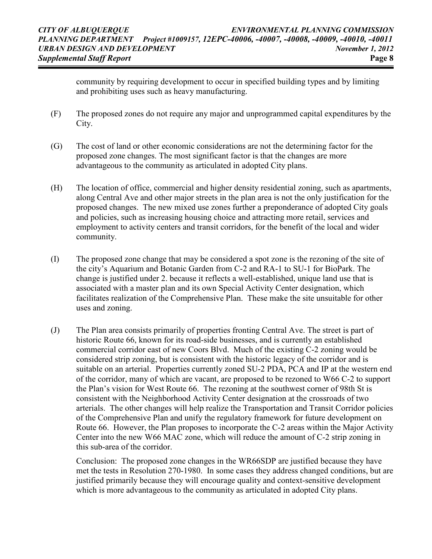community by requiring development to occur in specified building types and by limiting and prohibiting uses such as heavy manufacturing.

- (F) The proposed zones do not require any major and unprogrammed capital expenditures by the City.
- (G) The cost of land or other economic considerations are not the determining factor for the proposed zone changes. The most significant factor is that the changes are more advantageous to the community as articulated in adopted City plans.
- (H) The location of office, commercial and higher density residential zoning, such as apartments, along Central Ave and other major streets in the plan area is not the only justification for the proposed changes. The new mixed use zones further a preponderance of adopted City goals and policies, such as increasing housing choice and attracting more retail, services and employment to activity centers and transit corridors, for the benefit of the local and wider community.
- (I) The proposed zone change that may be considered a spot zone is the rezoning of the site of the city's Aquarium and Botanic Garden from C-2 and RA-1 to SU-1 for BioPark. The change is justified under 2. because it reflects a well-established, unique land use that is associated with a master plan and its own Special Activity Center designation, which facilitates realization of the Comprehensive Plan. These make the site unsuitable for other uses and zoning.
- (J) The Plan area consists primarily of properties fronting Central Ave. The street is part of historic Route 66, known for its road-side businesses, and is currently an established commercial corridor east of new Coors Blvd. Much of the existing C-2 zoning would be considered strip zoning, but is consistent with the historic legacy of the corridor and is suitable on an arterial. Properties currently zoned SU-2 PDA, PCA and IP at the western end of the corridor, many of which are vacant, are proposed to be rezoned to W66 C-2 to support the Plan's vision for West Route 66. The rezoning at the southwest corner of 98th St is consistent with the Neighborhood Activity Center designation at the crossroads of two arterials. The other changes will help realize the Transportation and Transit Corridor policies of the Comprehensive Plan and unify the regulatory framework for future development on Route 66. However, the Plan proposes to incorporate the C-2 areas within the Major Activity Center into the new W66 MAC zone, which will reduce the amount of C-2 strip zoning in this sub-area of the corridor.

Conclusion: The proposed zone changes in the WR66SDP are justified because they have met the tests in Resolution 270-1980. In some cases they address changed conditions, but are justified primarily because they will encourage quality and context-sensitive development which is more advantageous to the community as articulated in adopted City plans.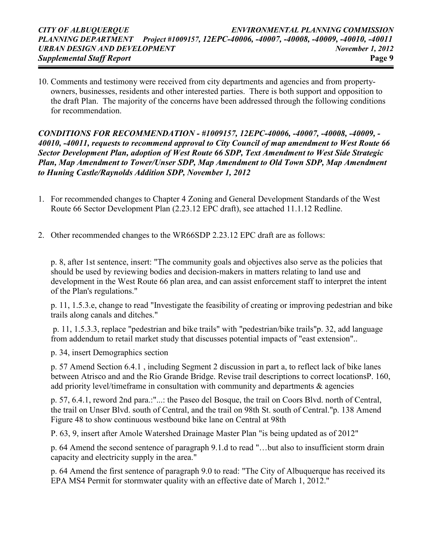10. Comments and testimony were received from city departments and agencies and from propertyowners, businesses, residents and other interested parties. There is both support and opposition to the draft Plan. The majority of the concerns have been addressed through the following conditions for recommendation.

CONDITIONS FOR RECOMMENDATION - #1009157, 12EPC-40006, -40007, -40008, -40009, - 40010, -40011, requests to recommend approval to City Council of map amendment to West Route 66 Sector Development Plan, adoption of West Route 66 SDP, Text Amendment to West Side Strategic Plan, Map Amendment to Tower/Unser SDP, Map Amendment to Old Town SDP, Map Amendment to Huning Castle/Raynolds Addition SDP, November 1, 2012

- 1. For recommended changes to Chapter 4 Zoning and General Development Standards of the West Route 66 Sector Development Plan (2.23.12 EPC draft), see attached 11.1.12 Redline.
- 2. Other recommended changes to the WR66SDP 2.23.12 EPC draft are as follows:

p. 8, after 1st sentence, insert: "The community goals and objectives also serve as the policies that should be used by reviewing bodies and decision-makers in matters relating to land use and development in the West Route 66 plan area, and can assist enforcement staff to interpret the intent of the Plan's regulations."

p. 11, 1.5.3.e, change to read "Investigate the feasibility of creating or improving pedestrian and bike trails along canals and ditches."

 p. 11, 1.5.3.3, replace "pedestrian and bike trails" with "pedestrian/bike trails"p. 32, add language from addendum to retail market study that discusses potential impacts of "east extension"..

p. 34, insert Demographics section

p. 57 Amend Section 6.4.1 , including Segment 2 discussion in part a, to reflect lack of bike lanes between Atrisco and and the Rio Grande Bridge. Revise trail descriptions to correct locationsP. 160, add priority level/timeframe in consultation with community and departments & agencies

p. 57, 6.4.1, reword 2nd para.:"...: the Paseo del Bosque, the trail on Coors Blvd. north of Central, the trail on Unser Blvd. south of Central, and the trail on 98th St. south of Central."p. 138 Amend Figure 48 to show continuous westbound bike lane on Central at 98th

P. 63, 9, insert after Amole Watershed Drainage Master Plan "is being updated as of 2012"

p. 64 Amend the second sentence of paragraph 9.1.d to read "…but also to insufficient storm drain capacity and electricity supply in the area."

p. 64 Amend the first sentence of paragraph 9.0 to read: "The City of Albuquerque has received its EPA MS4 Permit for stormwater quality with an effective date of March 1, 2012."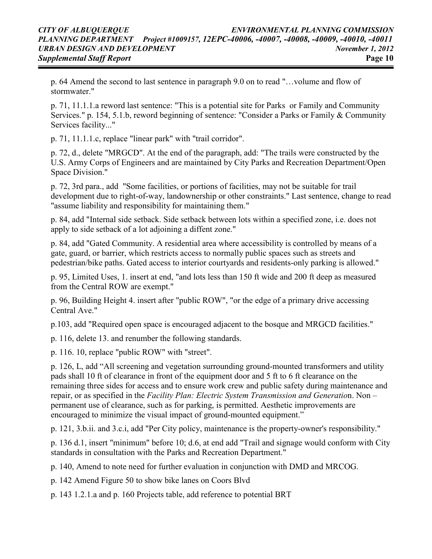p. 64 Amend the second to last sentence in paragraph 9.0 on to read "…volume and flow of stormwater."

p. 71, 11.1.1.a reword last sentence: "This is a potential site for Parks or Family and Community Services." p. 154, 5.1.b, reword beginning of sentence: "Consider a Parks or Family & Community Services facility..."

p. 71, 11.1.1.c, replace "linear park" with "trail corridor".

p. 72, d., delete "MRGCD". At the end of the paragraph, add: "The trails were constructed by the U.S. Army Corps of Engineers and are maintained by City Parks and Recreation Department/Open Space Division."

p. 72, 3rd para., add "Some facilities, or portions of facilities, may not be suitable for trail development due to right-of-way, landownership or other constraints." Last sentence, change to read "assume liability and responsibility for maintaining them."

p. 84, add "Internal side setback. Side setback between lots within a specified zone, i.e. does not apply to side setback of a lot adjoining a diffent zone."

p. 84, add "Gated Community. A residential area where accessibility is controlled by means of a gate, guard, or barrier, which restricts access to normally public spaces such as streets and pedestrian/bike paths. Gated access to interior courtyards and residents-only parking is allowed."

p. 95, Limited Uses, 1. insert at end, "and lots less than 150 ft wide and 200 ft deep as measured from the Central ROW are exempt."

p. 96, Building Height 4. insert after "public ROW", "or the edge of a primary drive accessing Central Ave."

p.103, add "Required open space is encouraged adjacent to the bosque and MRGCD facilities."

p. 116, delete 13. and renumber the following standards.

p. 116. 10, replace "public ROW" with "street".

p. 126, L, add "All screening and vegetation surrounding ground-mounted transformers and utility pads shall 10 ft of clearance in front of the equipment door and 5 ft to 6 ft clearance on the remaining three sides for access and to ensure work crew and public safety during maintenance and repair, or as specified in the Facility Plan: Electric System Transmission and Generation. Non – permanent use of clearance, such as for parking, is permitted. Aesthetic improvements are encouraged to minimize the visual impact of ground-mounted equipment."

p. 121, 3.b.ii. and 3.c.i, add "Per City policy, maintenance is the property-owner's responsibility."

p. 136 d.1, insert "minimum" before 10; d.6, at end add "Trail and signage would conform with City standards in consultation with the Parks and Recreation Department."

p. 140, Amend to note need for further evaluation in conjunction with DMD and MRCOG.

p. 142 Amend Figure 50 to show bike lanes on Coors Blvd

p. 143 1.2.1.a and p. 160 Projects table, add reference to potential BRT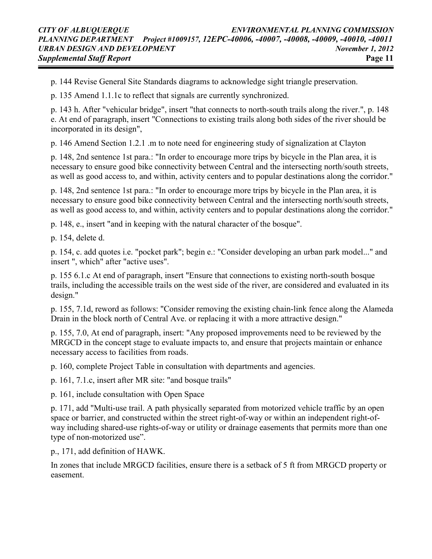p. 144 Revise General Site Standards diagrams to acknowledge sight triangle preservation.

p. 135 Amend 1.1.1c to reflect that signals are currently synchronized.

p. 143 h. After "vehicular bridge", insert "that connects to north-south trails along the river.", p. 148 e. At end of paragraph, insert "Connections to existing trails along both sides of the river should be incorporated in its design",

p. 146 Amend Section 1.2.1 .m to note need for engineering study of signalization at Clayton

p. 148, 2nd sentence 1st para.: "In order to encourage more trips by bicycle in the Plan area, it is necessary to ensure good bike connectivity between Central and the intersecting north/south streets, as well as good access to, and within, activity centers and to popular destinations along the corridor."

p. 148, 2nd sentence 1st para.: "In order to encourage more trips by bicycle in the Plan area, it is necessary to ensure good bike connectivity between Central and the intersecting north/south streets, as well as good access to, and within, activity centers and to popular destinations along the corridor."

p. 148, e., insert "and in keeping with the natural character of the bosque".

p. 154, delete d.

p. 154, c. add quotes i.e. "pocket park"; begin e.: "Consider developing an urban park model..." and insert ", which" after "active uses".

p. 155 6.1.c At end of paragraph, insert "Ensure that connections to existing north-south bosque trails, including the accessible trails on the west side of the river, are considered and evaluated in its design."

p. 155, 7.1d, reword as follows: "Consider removing the existing chain-link fence along the Alameda Drain in the block north of Central Ave. or replacing it with a more attractive design."

p. 155, 7.0, At end of paragraph, insert: "Any proposed improvements need to be reviewed by the MRGCD in the concept stage to evaluate impacts to, and ensure that projects maintain or enhance necessary access to facilities from roads.

p. 160, complete Project Table in consultation with departments and agencies.

p. 161, 7.1.c, insert after MR site: "and bosque trails"

p. 161, include consultation with Open Space

p. 171, add "Multi-use trail. A path physically separated from motorized vehicle traffic by an open space or barrier, and constructed within the street right-of-way or within an independent right-ofway including shared-use rights-of-way or utility or drainage easements that permits more than one type of non-motorized use".

p., 171, add definition of HAWK.

In zones that include MRGCD facilities, ensure there is a setback of 5 ft from MRGCD property or easement.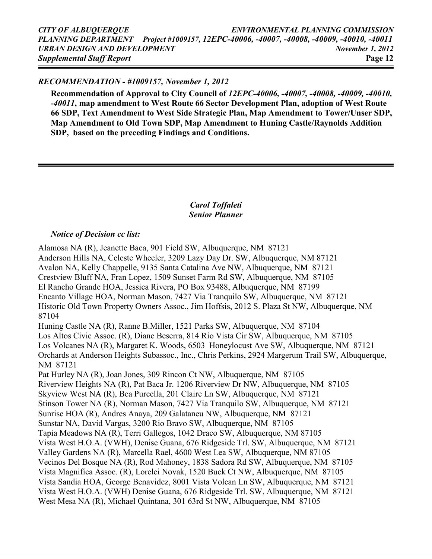### RECOMMENDATION - #1009157, November 1, 2012

Recommendation of Approval to City Council of 12EPC-40006, -40007, -40008, -40009, -40010, -40011, map amendment to West Route 66 Sector Development Plan, adoption of West Route 66 SDP, Text Amendment to West Side Strategic Plan, Map Amendment to Tower/Unser SDP, Map Amendment to Old Town SDP, Map Amendment to Huning Castle/Raynolds Addition SDP, based on the preceding Findings and Conditions.

## Carol Toffaleti Senior Planner

### Notice of Decision cc list:

Alamosa NA (R), Jeanette Baca, 901 Field SW, Albuquerque, NM 87121 Anderson Hills NA, Celeste Wheeler, 3209 Lazy Day Dr. SW, Albuquerque, NM 87121 Avalon NA, Kelly Chappelle, 9135 Santa Catalina Ave NW, Albuquerque, NM 87121 Crestview Bluff NA, Fran Lopez, 1509 Sunset Farm Rd SW, Albuquerque, NM 87105 El Rancho Grande HOA, Jessica Rivera, PO Box 93488, Albuquerque, NM 87199 Encanto Village HOA, Norman Mason, 7427 Via Tranquilo SW, Albuquerque, NM 87121 Historic Old Town Property Owners Assoc., Jim Hoffsis, 2012 S. Plaza St NW, Albuquerque, NM 87104 Huning Castle NA (R), Ranne B.Miller, 1521 Parks SW, Albuquerque, NM 87104 Los Altos Civic Assoc. (R), Diane Beserra, 814 Rio Vista Cir SW, Albuquerque, NM 87105 Los Volcanes NA (R), Margaret K. Woods, 6503 Honeylocust Ave SW, Albuquerque, NM 87121 Orchards at Anderson Heights Subassoc., Inc., Chris Perkins, 2924 Margerum Trail SW, Albuquerque, NM 87121 Pat Hurley NA (R), Joan Jones, 309 Rincon Ct NW, Albuquerque, NM 87105 Riverview Heights NA (R), Pat Baca Jr. 1206 Riverview Dr NW, Albuquerque, NM 87105 Skyview West NA (R), Bea Purcella, 201 Claire Ln SW, Albuquerque, NM 87121 Stinson Tower NA (R), Norman Mason, 7427 Via Tranquilo SW, Albuquerque, NM 87121 Sunrise HOA (R), Andres Anaya, 209 Galataneu NW, Albuquerque, NM 87121 Sunstar NA, David Vargas, 3200 Rio Bravo SW, Albuquerque, NM 87105 Tapia Meadows NA (R), Terri Gallegos, 1042 Draco SW, Albuquerque, NM 87105 Vista West H.O.A. (VWH), Denise Guana, 676 Ridgeside Trl. SW, Albuquerque, NM 87121 Valley Gardens NA (R), Marcella Rael, 4600 West Lea SW, Albuquerque, NM 87105 Vecinos Del Bosque NA (R), Rod Mahoney, 1838 Sadora Rd SW, Albuquerque, NM 87105 Vista Magnifica Assoc. (R), Lorelei Novak, 1520 Buck Ct NW, Albuquerque, NM 87105 Vista Sandia HOA, George Benavidez, 8001 Vista Volcan Ln SW, Albuquerque, NM 87121 Vista West H.O.A. (VWH) Denise Guana, 676 Ridgeside Trl. SW, Albuquerque, NM 87121 West Mesa NA (R), Michael Quintana, 301 63rd St NW, Albuquerque, NM 87105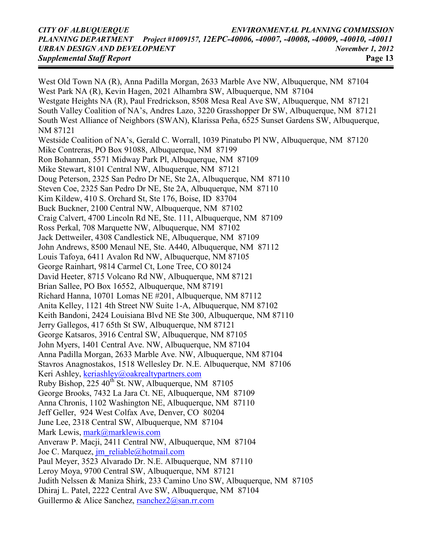#### CITY OF ALBUQUERQUE ENVIRONMENTAL PLANNING COMMISSION PLANNING DEPARTMENT Project #1009157, 12EPC-40006, -40007, -40008, -40009, -40010, -40011 URBAN DESIGN AND DEVELOPMENT November 1, 2012 Supplemental Staff Report **Page 13**

West Old Town NA (R), Anna Padilla Morgan, 2633 Marble Ave NW, Albuquerque, NM 87104 West Park NA (R), Kevin Hagen, 2021 Alhambra SW, Albuquerque, NM 87104 Westgate Heights NA (R), Paul Fredrickson, 8508 Mesa Real Ave SW, Albuquerque, NM 87121 South Valley Coalition of NA's, Andres Lazo, 3220 Grasshopper Dr SW, Albuquerque, NM 87121 South West Alliance of Neighbors (SWAN), Klarissa Peña, 6525 Sunset Gardens SW, Albuquerque, NM 87121 Westside Coalition of NA's, Gerald C. Worrall, 1039 Pinatubo Pl NW, Albuquerque, NM 87120 Mike Contreras, PO Box 91088, Albuquerque, NM 87199 Ron Bohannan, 5571 Midway Park Pl, Albuquerque, NM 87109 Mike Stewart, 8101 Central NW, Albuquerque, NM 87121 Doug Peterson, 2325 San Pedro Dr NE, Ste 2A, Albuquerque, NM 87110 Steven Coe, 2325 San Pedro Dr NE, Ste 2A, Albuquerque, NM 87110 Kim Kildew, 410 S. Orchard St, Ste 176, Boise, ID 83704 Buck Buckner, 2100 Central NW, Albuquerque, NM 87102 Craig Calvert, 4700 Lincoln Rd NE, Ste. 111, Albuquerque, NM 87109 Ross Perkal, 708 Marquette NW, Albuquerque, NM 87102 Jack Dettweiler, 4308 Candlestick NE, Albuquerque, NM 87109 John Andrews, 8500 Menaul NE, Ste. A440, Albuquerque, NM 87112 Louis Tafoya, 6411 Avalon Rd NW, Albuquerque, NM 87105 George Rainhart, 9814 Carmel Ct, Lone Tree, CO 80124 David Heeter, 8715 Volcano Rd NW, Albuquerque, NM 87121 Brian Sallee, PO Box 16552, Albuquerque, NM 87191 Richard Hanna, 10701 Lomas NE #201, Albuquerque, NM 87112 Anita Kelley, 1121 4th Street NW Suite 1-A, Albuquerque, NM 87102 Keith Bandoni, 2424 Louisiana Blvd NE Ste 300, Albuquerque, NM 87110 Jerry Gallegos, 417 65th St SW, Albuquerque, NM 87121 George Katsaros, 3916 Central SW, Albuquerque, NM 87105 John Myers, 1401 Central Ave. NW, Albuquerque, NM 87104 Anna Padilla Morgan, 2633 Marble Ave. NW, Albuquerque, NM 87104 Stavros Anagnostakos, 1518 Wellesley Dr. N.E. Albuquerque, NM 87106 Keri Ashley, keriashley@oakrealtypartners.com Ruby Bishop,  $225 \times 40^{th}$  St. NW, Albuquerque, NM 87105 George Brooks, 7432 La Jara Ct. NE, Albuquerque, NM 87109 Anna Chronis, 1102 Washington NE, Albuquerque, NM 87110 Jeff Geller, 924 West Colfax Ave, Denver, CO 80204 June Lee, 2318 Central SW, Albuquerque, NM 87104 Mark Lewis, mark@marklewis.com Anveraw P. Macji, 2411 Central NW, Albuquerque, NM 87104 Joe C. Marquez, *jm\_reliable@hotmail.com* Paul Meyer, 3523 Alvarado Dr. N.E. Albuquerque, NM 87110 Leroy Moya, 9700 Central SW, Albuquerque, NM 87121 Judith Nelssen & Maniza Shirk, 233 Camino Uno SW, Albuquerque, NM 87105 Dhiraj L. Patel, 2222 Central Ave SW, Albuquerque, NM 87104 Guillermo & Alice Sanchez, rsanchez2@san.rr.com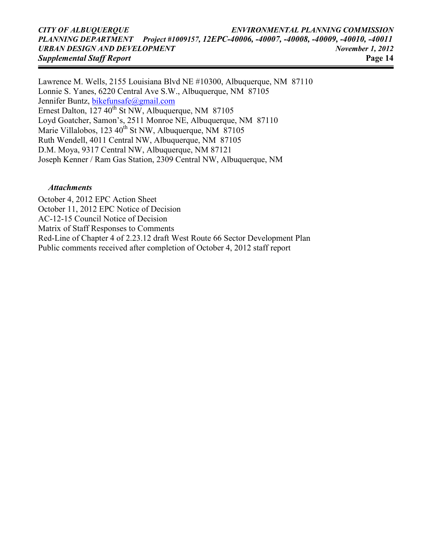#### CITY OF ALBUQUERQUE ENVIRONMENTAL PLANNING COMMISSION PLANNING DEPARTMENT Project #1009157, 12EPC-40006, -40007, -40008, -40009, -40010, -40011 URBAN DESIGN AND DEVELOPMENT November 1, 2012 Supplemental Staff Report **Page 14**

Lawrence M. Wells, 2155 Louisiana Blvd NE #10300, Albuquerque, NM 87110 Lonnie S. Yanes, 6220 Central Ave S.W., Albuquerque, NM 87105 Jennifer Buntz, *bikefunsafe@gmail.com* Ernest Dalton,  $127 \times 40^{th}$  St NW, Albuquerque, NM 87105 Loyd Goatcher, Samon's, 2511 Monroe NE, Albuquerque, NM 87110 Marie Villalobos, 123  $40^{th}$  St NW, Albuquerque, NM 87105 Ruth Wendell, 4011 Central NW, Albuquerque, NM 87105 D.M. Moya, 9317 Central NW, Albuquerque, NM 87121 Joseph Kenner / Ram Gas Station, 2309 Central NW, Albuquerque, NM

#### Attachments

October 4, 2012 EPC Action Sheet October 11, 2012 EPC Notice of Decision AC-12-15 Council Notice of Decision Matrix of Staff Responses to Comments Red-Line of Chapter 4 of 2.23.12 draft West Route 66 Sector Development Plan Public comments received after completion of October 4, 2012 staff report